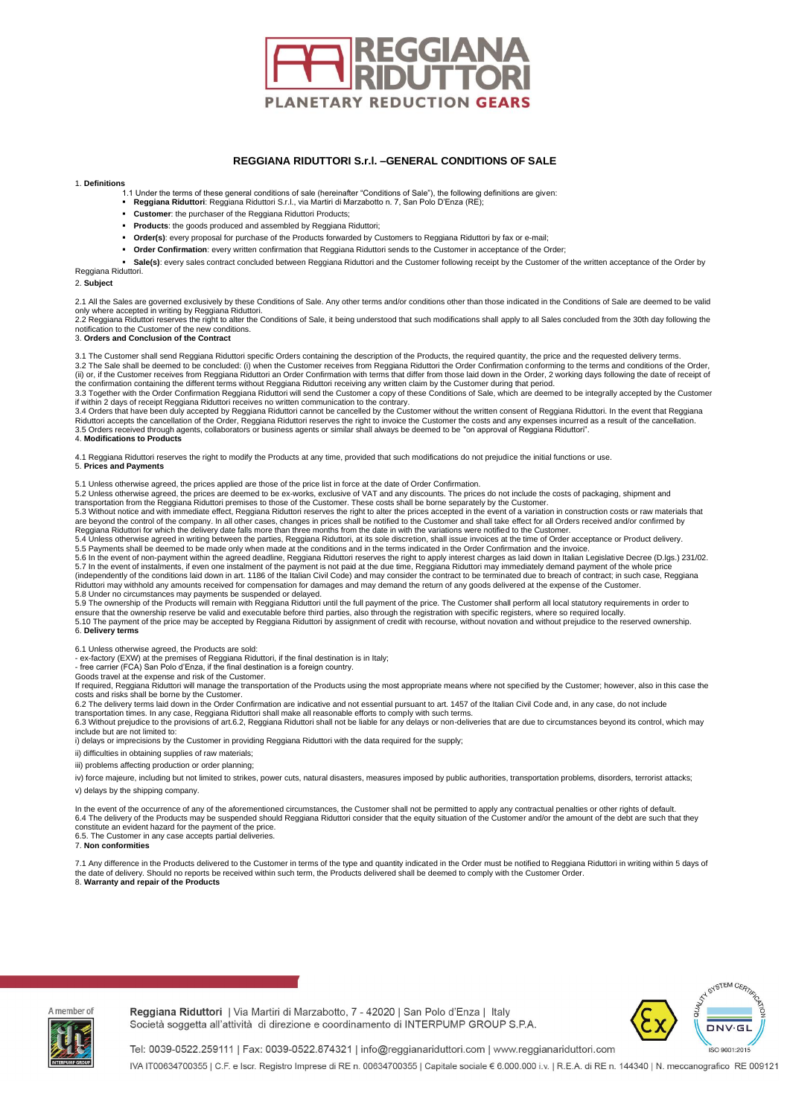

# **REGGIANA RIDUTTORI S.r.l. –GENERAL CONDITIONS OF SALE**

### 1. **Definitions**

- 1.1 Under the terms of these general conditions of sale (hereinafter "Conditions of Sale"), the following definitions are given:<br>■ **Reggiana Riduttori**: Reggiana Riduttori S.r.l., via Martiri di Marzabotto n. 7, San Polo
- - **Customer**: the purchaser of the Reggiana Riduttori Products;
	- **Products**: the goods produced and assembled by Reggiana Riduttori;
	- Order(s): every proposal for purchase of the Products forwarded by Customers to Reggiana Riduttori by fax or e-mail;
	- **Order Confirmation**: every written confirmation that Reggiana Riduttori sends to the Customer in acceptance of the Order;

Sale(s): every sales contract concluded between Reggiana Riduttori and the Customer following receipt by the Customer of the written acceptance of the Order by Reggiana Riduttori.

## 2. **Subject**

2.1 All the Sales are governed exclusively by these Conditions of Sale. Any other terms and/or conditions other than those indicated in the Conditions of Sale are deemed to be valid only where accepted in writing by Reggiana Riduttori.<br>2.2 Reggiana Riduttori reserves the right to alter the Conditions of Sale, it being understood that such modifications shall apply to all Sales concluded from the 30th

notification to the Customer of the new conditions. 3. **Orders and Conclusion of the Contract** 

3.1 The Customer shall send Reggiana Riduttori specific Orders containing the description of the Products, the required quantity, the price and the requested delivery terms. 3.2 The Sale shall be deemed to be concluded: (i) when the Customer receives from Reggiana Riduttori the Order Confirmation conforming to the terms and conditions of the Order, (ii) or, if the Customer receives from Reggiana Riduttori an Order Confirmation with terms that differ from those laid down in the Order, 2 working days following the date of receipt of<br>the confirmation containing the diff

3.3 Together with the Order Confirmation Reggiana Riduttori will send the Customer a copy of these Conditions of Sale, which are deemed to be integrally accepted by the Customer<br>if within 2 days of receipt Reggiana Ridutto 3.4 Orders that have been duly accepted by Reggiana Riduttori cannot be cancelled by the Customer without the written consent of Reggiana Riduttori. In the event that Reggiana<br>Riduttori accepts the cancellation of the Orde

3.5 Orders received through agents, collaborators or business agents or similar shall always be deemed to be "on approval of Reggiana Riduttori". 4. **Modifications to Products** 

4.1 Reggiana Riduttori reserves the right to modify the Products at any time, provided that such modifications do not prejudice the initial functions or use.

### 5. **Prices and Payments**

5.1 Unless otherwise agreed, the prices applied are those of the price list in force at the date of Order Confirmation.

5.2 Unless otherwise agreed, the prices are deemed to be ex-works, exclusive of VAT and any discounts. The prices do not include the costs of packaging, shipment and<br>transportation from the Reggiana Riduttori premises to t

5.3 Without notice and with immediate effect, Reggiana Riduttori reserves the right to alter the prices accepted in the event of a variation in construction costs or raw materials that<br>are beyond the control of the company Reggiana Riduttori for which the delivery date falls more than three months from the date in with the variations were notified to the Customer.<br>5.4 Unless otherwise agreed in writing between the parties, Reggiana Riduttori

5.5 Payments shall be deemed to be made only when made at the conditions and in the terms indicated in the Order Confirmation and the invoice.<br>5.6 In the event of non-payment within the agreed deadline, Reggiana Riduttori 5.7 In the event of instalments, if even one instalment of the payment is not paid at the due time, Reggiana Riduttori may immediately demand payment of the whole price<br>(independently of the conditions laid down in art. 11 Riduttori may withhold any amounts received for compensation for damages and may demand the return of any goods delivered at the expense of the Customer. 5.8 Under no circumstances may payments be suspended or delayed.<br>5.9 The ownership of the Products will remain with Reggiana Riduttori until the full payment of the price. The Customer shall perform all local statutory req

ensure that the ownership reserve be valid and executable before third parties, also through the registration with specific registers, where so required locally.<br>5.10 The payment of the price may be accepted by Reggiana Ri 6. **Delivery terms** 

6.1 Unless otherwise agreed, the Products are sold:<br>- ex-factory (EXW) at the premises of Reggiana Riduttori, if the final destination is in Italy;<br>- free carrier (FCA) San Polo d'Enza, if the final destination is a foreig

Goods travel at the expense and risk of the Customer.

If required, Reggiana Riduttori will manage the transportation of the Products using the most appropriate means where not specified by the Customer; however, also in this case the<br>costs and risks shall be borne by the Cust

transportation times. In any case, Reggiana Riduttori shall make all reasonable efforts to comply with such terms.<br>6.3 Without prejudice to the provisions of art.6.2, Reggiana Riduttori shall not be liable for any delays o

include but are not limited to:

i) delays or imprecisions by the Customer in providing Reggiana Riduttori with the data required for the supply;

ii) difficulties in obtaining supplies of raw materials;

iii) problems affecting production or order planning;

iv) force majeure, including but not limited to strikes, power cuts, natural disasters, measures imposed by public authorities, transportation problems, disorders, terrorist attacks; v) delays by the shipping company.

In the event of the occurrence of any of the aforementioned circumstances, the Customer shall not be permitted to apply any contractual penalties or other rights of default.<br>6.4 The delivery of the Products may be suspende constitute an evident hazard for the payment of the price. 6.5. The Customer in any case accepts partial deliveries.

## 7. **Non conformities**

7.1 Any difference in the Products delivered to the Customer in terms of the type and quantity indicated in the Order must be notified to Reggiana Riduttori in writing within 5 days of the date of delivery. Should no reports be received within such term, the Products delivered shall be deemed to comply with the Customer Order. 8. **Warranty and repair of the Products** 



Reggiana Riduttori | Via Martiri di Marzabotto, 7 - 42020 | San Polo d'Enza | Italy Società soggetta all'attività di direzione e coordinamento di INTERPUMP GROUP S.P.A.



Tel: 0039-0522.259111 | Fax: 0039-0522.874321 | info@reggianariduttori.com | www.reggianariduttori.com IVA IT00634700355 | C.F. e Iscr. Registro Imprese di RE n. 00634700355 | Capitale sociale € 6.000.000 i.v. | R.E.A. di RE n. 144340 | N. meccanografico RE 009121